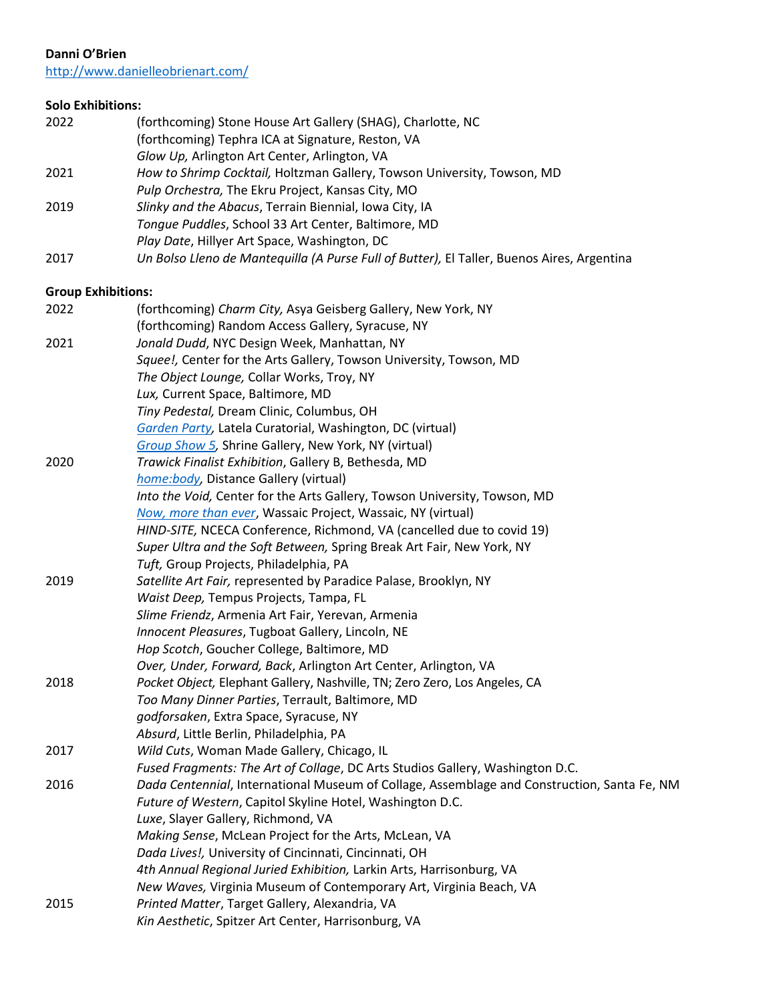# **Danni O'Brien**

<http://www.danielleobrienart.com/>

# **Solo Exhibitions:**

| 2022 | (forthcoming) Stone House Art Gallery (SHAG), Charlotte, NC                                |
|------|--------------------------------------------------------------------------------------------|
|      | (forthcoming) Tephra ICA at Signature, Reston, VA                                          |
|      | Glow Up, Arlington Art Center, Arlington, VA                                               |
| 2021 | How to Shrimp Cocktail, Holtzman Gallery, Towson University, Towson, MD                    |
|      | Pulp Orchestra, The Ekru Project, Kansas City, MO                                          |
| 2019 | Slinky and the Abacus, Terrain Biennial, Iowa City, IA                                     |
|      | Tongue Puddles, School 33 Art Center, Baltimore, MD                                        |
|      | Play Date, Hillyer Art Space, Washington, DC                                               |
| 2017 | Un Bolso Lleno de Mantequilla (A Purse Full of Butter), El Taller, Buenos Aires, Argentina |
|      |                                                                                            |

# **Group Exhibitions:**

| 2022 | (forthcoming) Charm City, Asya Geisberg Gallery, New York, NY                               |
|------|---------------------------------------------------------------------------------------------|
|      | (forthcoming) Random Access Gallery, Syracuse, NY                                           |
| 2021 | Jonald Dudd, NYC Design Week, Manhattan, NY                                                 |
|      | Squee!, Center for the Arts Gallery, Towson University, Towson, MD                          |
|      | The Object Lounge, Collar Works, Troy, NY                                                   |
|      | Lux, Current Space, Baltimore, MD                                                           |
|      | Tiny Pedestal, Dream Clinic, Columbus, OH                                                   |
|      | Garden Party, Latela Curatorial, Washington, DC (virtual)                                   |
|      | Group Show 5, Shrine Gallery, New York, NY (virtual)                                        |
| 2020 | Trawick Finalist Exhibition, Gallery B, Bethesda, MD                                        |
|      | home:body, Distance Gallery (virtual)                                                       |
|      | Into the Void, Center for the Arts Gallery, Towson University, Towson, MD                   |
|      | Now, more than ever, Wassaic Project, Wassaic, NY (virtual)                                 |
|      | HIND-SITE, NCECA Conference, Richmond, VA (cancelled due to covid 19)                       |
|      | Super Ultra and the Soft Between, Spring Break Art Fair, New York, NY                       |
|      | Tuft, Group Projects, Philadelphia, PA                                                      |
| 2019 | Satellite Art Fair, represented by Paradice Palase, Brooklyn, NY                            |
|      | Waist Deep, Tempus Projects, Tampa, FL                                                      |
|      | Slime Friendz, Armenia Art Fair, Yerevan, Armenia                                           |
|      | Innocent Pleasures, Tugboat Gallery, Lincoln, NE                                            |
|      | Hop Scotch, Goucher College, Baltimore, MD                                                  |
|      | Over, Under, Forward, Back, Arlington Art Center, Arlington, VA                             |
| 2018 | Pocket Object, Elephant Gallery, Nashville, TN; Zero Zero, Los Angeles, CA                  |
|      | Too Many Dinner Parties, Terrault, Baltimore, MD                                            |
|      | godforsaken, Extra Space, Syracuse, NY                                                      |
|      | Absurd, Little Berlin, Philadelphia, PA                                                     |
| 2017 | Wild Cuts, Woman Made Gallery, Chicago, IL                                                  |
|      | Fused Fragments: The Art of Collage, DC Arts Studios Gallery, Washington D.C.               |
| 2016 | Dada Centennial, International Museum of Collage, Assemblage and Construction, Santa Fe, NM |
|      | Future of Western, Capitol Skyline Hotel, Washington D.C.                                   |
|      | Luxe, Slayer Gallery, Richmond, VA                                                          |
|      | Making Sense, McLean Project for the Arts, McLean, VA                                       |
|      | Dada Lives!, University of Cincinnati, Cincinnati, OH                                       |
|      | 4th Annual Regional Juried Exhibition, Larkin Arts, Harrisonburg, VA                        |
|      | New Waves, Virginia Museum of Contemporary Art, Virginia Beach, VA                          |
| 2015 | Printed Matter, Target Gallery, Alexandria, VA                                              |
|      | Kin Aesthetic, Spitzer Art Center, Harrisonburg, VA                                         |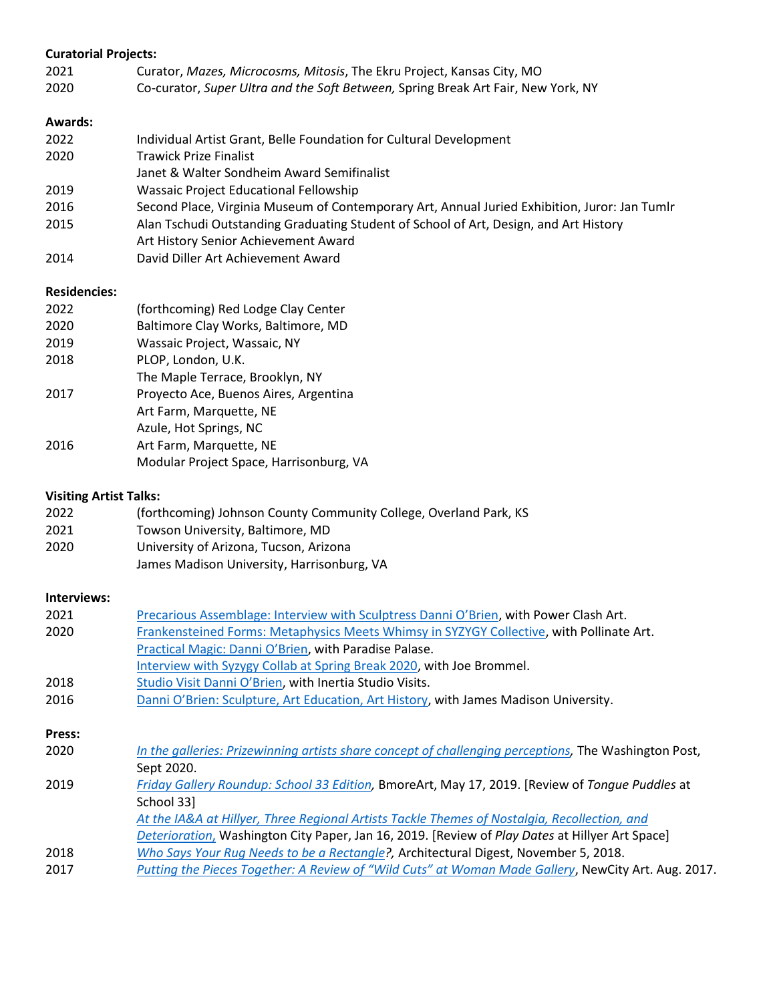# **Curatorial Projects:**

- 2021 Curator, *Mazes, Microcosms, Mitosis*, The Ekru Project, Kansas City, MO
- 2020 Co-curator, *Super Ultra and the Soft Between,* Spring Break Art Fair, New York, NY

# **Awards:**

2022 Individual Artist Grant, Belle Foundation for Cultural Development 2020 Trawick Prize Finalist Janet & Walter Sondheim Award Semifinalist 2019 Wassaic Project Educational Fellowship 2016 Second Place, Virginia Museum of Contemporary Art, Annual Juried Exhibition, Juror: Jan Tumlr 2015 Alan Tschudi Outstanding Graduating Student of School of Art, Design, and Art History Art History Senior Achievement Award 2014 David Diller Art Achievement Award

#### **Residencies:**

| 2022 | (forthcoming) Red Lodge Clay Center     |
|------|-----------------------------------------|
| 2020 | Baltimore Clay Works, Baltimore, MD     |
| 2019 | Wassaic Project, Wassaic, NY            |
| 2018 | PLOP, London, U.K.                      |
|      | The Maple Terrace, Brooklyn, NY         |
| 2017 | Proyecto Ace, Buenos Aires, Argentina   |
|      | Art Farm, Marquette, NE                 |
|      | Azule, Hot Springs, NC                  |
| 2016 | Art Farm, Marquette, NE                 |
|      | Modular Project Space, Harrisonburg, VA |

#### **Visiting Artist Talks:**

| 2022 | (forthcoming) Johnson County Community College, Overland Park, KS |
|------|-------------------------------------------------------------------|
| 2021 | Towson University, Baltimore, MD                                  |
| 2020 | University of Arizona, Tucson, Arizona                            |
|      | James Madison University, Harrisonburg, VA                        |

# **Interviews:**

| 2021   | Precarious Assemblage: Interview with Sculptress Danni O'Brien, with Power Clash Art.                 |
|--------|-------------------------------------------------------------------------------------------------------|
| 2020   | Frankensteined Forms: Metaphysics Meets Whimsy in SYZYGY Collective, with Pollinate Art.              |
|        | Practical Magic: Danni O'Brien, with Paradise Palase.                                                 |
|        | Interview with Syzygy Collab at Spring Break 2020, with Joe Brommel.                                  |
| 2018   | Studio Visit Danni O'Brien, with Inertia Studio Visits.                                               |
| 2016   | Danni O'Brien: Sculpture, Art Education, Art History, with James Madison University.                  |
|        |                                                                                                       |
| Press: |                                                                                                       |
| 2020   | In the galleries: Prizewinning artists share concept of challenging perceptions, The Washington Post, |
|        | Sept 2020.                                                                                            |
| 2019   | Friday Gallery Roundup: School 33 Edition, BmoreArt, May 17, 2019. [Review of Tonque Puddles at       |
|        | School 33]                                                                                            |
|        | At the IA&A at Hillyer, Three Regional Artists Tackle Themes of Nostalgia, Recollection, and          |
|        | Deterioration, Washington City Paper, Jan 16, 2019. [Review of Play Dates at Hillyer Art Space]       |
| 2018   | Who Says Your Rug Needs to be a Rectangle?, Architectural Digest, November 5, 2018.                   |
| 2017   | Putting the Pieces Together: A Review of "Wild Cuts" at Woman Made Gallery, NewCity Art. Aug. 2017.   |
|        |                                                                                                       |